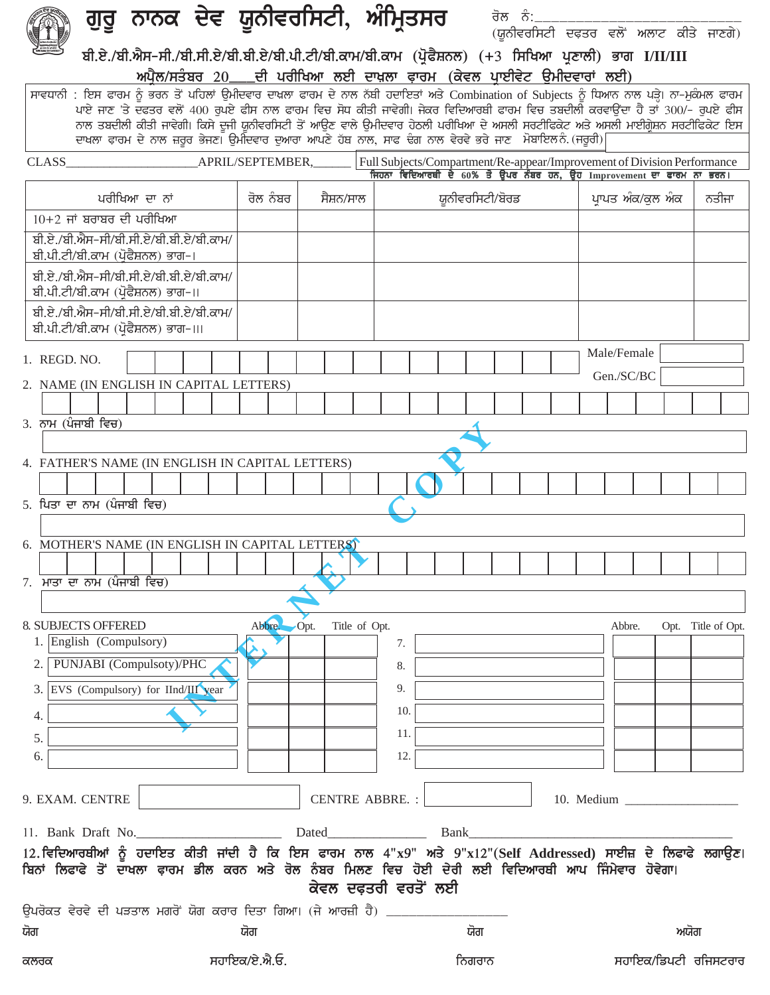|                                                                                                                                             | ਗੁਰੂ ਨਾਨਕ ਦੇਵ ਯੂਨੀਵਰਸਿਟੀ, ਅੰਮ੍ਰਿਤਸਰ                                                                                                                                                                                                                                                                                                                                         |                       |                      | ਰੋਲ ਨੰ:_        | (ਯੂਨੀਵਰਸਿਟੀ ਦਫ਼ਤਰ ਵਲੋਂ ਅਲਾਟ ਕੀਤੇ ਜਾਣਗੇ)                                 |                      |
|---------------------------------------------------------------------------------------------------------------------------------------------|-----------------------------------------------------------------------------------------------------------------------------------------------------------------------------------------------------------------------------------------------------------------------------------------------------------------------------------------------------------------------------|-----------------------|----------------------|-----------------|-------------------------------------------------------------------------|----------------------|
|                                                                                                                                             | ਬੀ.ਏ./ਬੀ.ਐਸ-ਸੀ./ਬੀ.ਸੀ.ਏ/ਬੀ.ਬੀ.ਏ/ਬੀ.ਪੀ.ਟੀ/ਬੀ.ਕਾਮ/ਬੀ.ਕਾਮ (ਪ੍ਰੋਫੈਸ਼ਨਲ) (+3 ਸਿਖਿਆ ਪ੍ਰਣਾਲੀ) ਭਾਗ I/II/III<br>ਅਪੈਲ/ਸਤੰਬਰ 20___ਦੀ ਪਰੀਖਿਆ ਲਈ ਦਾਖ਼ਲਾ ਫ਼ਾਰਮ (ਕੇਵਲ ਪਾਈਵੇਟ ਉਮੀਦਵਾਰਾਂ ਲਈ)                                                                                                                                                                                                 |                       |                      |                 |                                                                         |                      |
| ਸਾਵਧਾਨੀ : ਇਸ ਫਾਰਮ ਨੂੰ ਭਰਨ ਤੋਂ ਪਹਿਲਾਂ ਉਮੀਦਵਾਰ ਦਾਖ਼ਲਾ ਫਾਰਮ ਦੇ ਨਾਲ ਨੱਬੀ ਹਦਾਇਤਾਂ ਅਤੇ Combination of Subjects ਨੂੰ ਧਿਆਨ ਨਾਲ ਪੜ੍ਹੇ। ਨਾ-ਮੁਕੰਮਲ ਫਾਰਮ | ਪਾਏ ਜਾਣ 'ਤੇ ਦਫਤਰ ਵਲੋਂ 400 ਰੁਪਏ ਫੀਸ ਨਾਲ ਫਾਰਮ ਵਿਚ ਸੋਧ ਕੀਤੀ ਜਾਵੇਗੀ। ਜੇਕਰ ਵਿਦਿਆਰਥੀ ਫਾਰਮ ਵਿਚ ਤਬਦੀਲੀ ਕਰਵਾਉਂਦਾ ਹੈ ਤਾਂ 300/- ਰੁਪਏ ਫੀਸ<br>ਨਾਲ ਤਬਦੀਲੀ ਕੀਤੀ ਜਾਵੇਗੀ। ਕਿਸੇ ਦੂਜੀ ਯੂਨੀਵਰਸਿਟੀ ਤੋਂ ਆਉਣ ਵਾਲੇ ਉਮੀਦਵਾਰ ਹੇਠਲੀ ਪਰੀਖਿਆ ਦੇ ਅਸਲੀ ਸਰਟੀਫਿਕੇਟ ਅਤੇ ਅਸਲੀ ਮਾਈਗ੍ਰੇਸ਼ਨ ਸਰਟੀਫਿਕੇਟ ਇਸ<br>ਦਾਖਲਾ ਫ਼ਾਰਮ ਦੇ ਨਾਲ ਜ਼ਰੂਰ ਭੇਜਣ। ਉਮੀਦਵਾਰ ਦੁਆਰਾ ਆਪਣੇ ਹੱਥ ਨਾਲ, ਸਾਫ ਢੰਗ ਨਾਲ ਵੇਰਵੇ ਭਰੇ ਜਾਣ ਮੋਬਾਇਲਨੰ (ਜਰੂਰੀ) |                       |                      |                 |                                                                         |                      |
| CLASS APRIL/SEPTEMBER,                                                                                                                      |                                                                                                                                                                                                                                                                                                                                                                             |                       |                      |                 | Full Subjects/Compartment/Re-appear/Improvement of Division Performance |                      |
|                                                                                                                                             |                                                                                                                                                                                                                                                                                                                                                                             |                       |                      |                 | ਜਿਹਨਾ ਵਿਦਿਆਰਥੀ ਦੇ 60% ਤੋਂ ਉਪਰ ਨੰਬਰ ਹਨ, ਉਹ Improvement ਦਾ ਫਾਰਮ ਨਾ ਭਰਨ।   |                      |
| ਪਰੀਖਿਆ ਦਾ ਨਾਂ<br>$10+2$ ਜਾਂ ਬਰਾਬਰ ਦੀ ਪਰੀਖਿਆ                                                                                                 | ਰੋਲ ਨੰਬਰ                                                                                                                                                                                                                                                                                                                                                                    | ਸੈਸ਼ਨ/ਸਾਲ             |                      | ਯੂਨੀਵਰਸਿਟੀ/ਬੋਰਡ | ਪਾਪਤ ਅੰਕ/ਕੁਲ ਅੰਕ                                                        | ਨਤੀਜਾ                |
| ਬੀ.ਏ./ਬੀ.ਐਸ-ਸੀ/ਬੀ.ਸੀ.ਏ/ਬੀ.ਬੀ.ਏ/ਬੀ.ਕਾਮ/<br>ਬੀ.ਪੀ.ਟੀ/ਬੀ.ਕਾਮ (ਪੋਫੈਸ਼ਨਲ) ਭਾਗ-।                                                                  |                                                                                                                                                                                                                                                                                                                                                                             |                       |                      |                 |                                                                         |                      |
| ਬੀ.ਏ./ਬੀ.ਐਸ-ਸੀ/ਬੀ.ਸੀ.ਏ/ਬੀ.ਬੀ.ਏ/ਬੀ.ਕਾਮ/<br>ਬੀ.ਪੀ.ਟੀ/ਬੀ.ਕਾਮ (ਪੋਫੈਸ਼ਨਲ) ਭਾਗ–॥                                                                  |                                                                                                                                                                                                                                                                                                                                                                             |                       |                      |                 |                                                                         |                      |
| ਬੀ.ਏ./ਬੀ.ਐਸ-ਸੀ/ਬੀ.ਸੀ.ਏ/ਬੀ.ਬੀ.ਏ/ਬੀ.ਕਾਮ/<br>ਬੀ.ਪੀ.ਟੀ/ਬੀ.ਕਾਮ (ਪੋਫੈਸ਼ਨਲ) ਭਾਗ-।।।                                                                |                                                                                                                                                                                                                                                                                                                                                                             |                       |                      |                 |                                                                         |                      |
| 1. REGD. NO.                                                                                                                                |                                                                                                                                                                                                                                                                                                                                                                             |                       |                      |                 | Male/Female                                                             |                      |
| 2. NAME (IN ENGLISH IN CAPITAL LETTERS)                                                                                                     |                                                                                                                                                                                                                                                                                                                                                                             |                       |                      |                 | Gen./SC/BC                                                              |                      |
|                                                                                                                                             |                                                                                                                                                                                                                                                                                                                                                                             |                       |                      |                 |                                                                         |                      |
| $3.$ ਨਾਮ $($ ਪੰਜਾਬੀ ਵਿਚ)                                                                                                                    |                                                                                                                                                                                                                                                                                                                                                                             |                       |                      |                 |                                                                         |                      |
|                                                                                                                                             |                                                                                                                                                                                                                                                                                                                                                                             |                       |                      |                 |                                                                         |                      |
| 4. FATHER'S NAME (IN ENGLISH IN CAPITAL LETTERS)                                                                                            |                                                                                                                                                                                                                                                                                                                                                                             |                       |                      |                 |                                                                         |                      |
| 5. ਪਿਤਾ ਦਾ ਨਾਮ (ਪੰਜਾਬੀ ਵਿਚ)                                                                                                                 |                                                                                                                                                                                                                                                                                                                                                                             |                       |                      |                 |                                                                         |                      |
| 6. MOTHER'S NAME (IN ENGLISH IN CAPITAL LETTERS)                                                                                            |                                                                                                                                                                                                                                                                                                                                                                             |                       |                      |                 |                                                                         |                      |
|                                                                                                                                             |                                                                                                                                                                                                                                                                                                                                                                             |                       |                      |                 |                                                                         |                      |
| 7. ਮਾਤਾ ਦਾ ਨਾਮ (ਪੰਜਾਬੀ ਵਿਚ)                                                                                                                 |                                                                                                                                                                                                                                                                                                                                                                             |                       |                      |                 |                                                                         |                      |
|                                                                                                                                             |                                                                                                                                                                                                                                                                                                                                                                             |                       |                      |                 |                                                                         |                      |
| <b>8. SUBJECTS OFFERED</b><br>1. English (Compulsory)                                                                                       | Abbre.                                                                                                                                                                                                                                                                                                                                                                      | Title of Opt.<br>Opt. | 7.                   |                 | Abbre.                                                                  | Opt. Title of Opt.   |
| PUNJABI (Compulsoty)/PHC                                                                                                                    |                                                                                                                                                                                                                                                                                                                                                                             |                       | 8.                   |                 |                                                                         |                      |
| EVS (Compulsory) for IInd/III year<br>3.1                                                                                                   |                                                                                                                                                                                                                                                                                                                                                                             |                       | 9.                   |                 |                                                                         |                      |
|                                                                                                                                             |                                                                                                                                                                                                                                                                                                                                                                             |                       | 10.                  |                 |                                                                         |                      |
| 4.<br>5.                                                                                                                                    |                                                                                                                                                                                                                                                                                                                                                                             |                       | 11.                  |                 |                                                                         |                      |
| 6.                                                                                                                                          |                                                                                                                                                                                                                                                                                                                                                                             |                       | 12.                  |                 |                                                                         |                      |
|                                                                                                                                             |                                                                                                                                                                                                                                                                                                                                                                             |                       |                      |                 |                                                                         |                      |
| 9. EXAM. CENTRE                                                                                                                             |                                                                                                                                                                                                                                                                                                                                                                             | <b>CENTRE ABBRE.:</b> |                      |                 |                                                                         |                      |
|                                                                                                                                             |                                                                                                                                                                                                                                                                                                                                                                             |                       |                      |                 |                                                                         |                      |
| 12.ਵਿਦਿਆਰਥੀਆਂ ਨੂੰ ਹਦਾਇਤ ਕੀਤੀ ਜਾਂਦੀ ਹੈ ਕਿ ਇਸ ਫਾਰਮ ਨਾਲ 4"x9" ਅਤੇ 9"x12"(Self Addressed) ਸਾਈਜ਼ ਦੇ ਲਿਫਾਫੇ ਲਗਾਉਣ।                                |                                                                                                                                                                                                                                                                                                                                                                             |                       |                      |                 |                                                                         |                      |
| ਬਿਨਾਂ ਲਿਫਾਫੇ ਤੋਂ ਦਾਖਲਾ ਫ਼ਾਰਮ ਡੀਲ ਕਰਨ ਅਤੇ ਰੋਲ ਨੰਬਰ ਮਿਲਣ ਵਿਚ ਹੋਈ ਦੇਰੀ ਲਈ ਵਿਦਿਆਰਥੀ ਆਪ ਜਿੰਮੇਵਾਰ ਹੋਵੇਗਾ।                                         |                                                                                                                                                                                                                                                                                                                                                                             |                       | ਕੇਵਲ ਦਫ਼ਤਰੀ ਵਰਤੋਂ ਲਈ |                 |                                                                         |                      |
| ਉਪਰੋਕਤ ਵੇਰਵੇ ਦੀ ਪੜਤਾਲ ਮਗਰੋਂ ਯੋਗ ਕਰਾਰ ਦਿਤਾ ਗਿਆ। (ਜੇ ਆਰਜ਼ੀ ਹੈ) ________                                                                       |                                                                                                                                                                                                                                                                                                                                                                             |                       |                      |                 |                                                                         |                      |
| ਯੋਗ                                                                                                                                         | ਯੋਗ                                                                                                                                                                                                                                                                                                                                                                         |                       | ਯੋਗ                  |                 |                                                                         | ਅਯੋਗ                 |
| ਕਲਰਕ                                                                                                                                        | ਸਹਾਇਕ/ਏ.ਐ.ਓ.                                                                                                                                                                                                                                                                                                                                                                |                       | ਨਿਗਰਾਨ               |                 |                                                                         | ਸਹਾਇਕ/ਡਿਪਟੀ ਰਜਿਸਟਰਾਰ |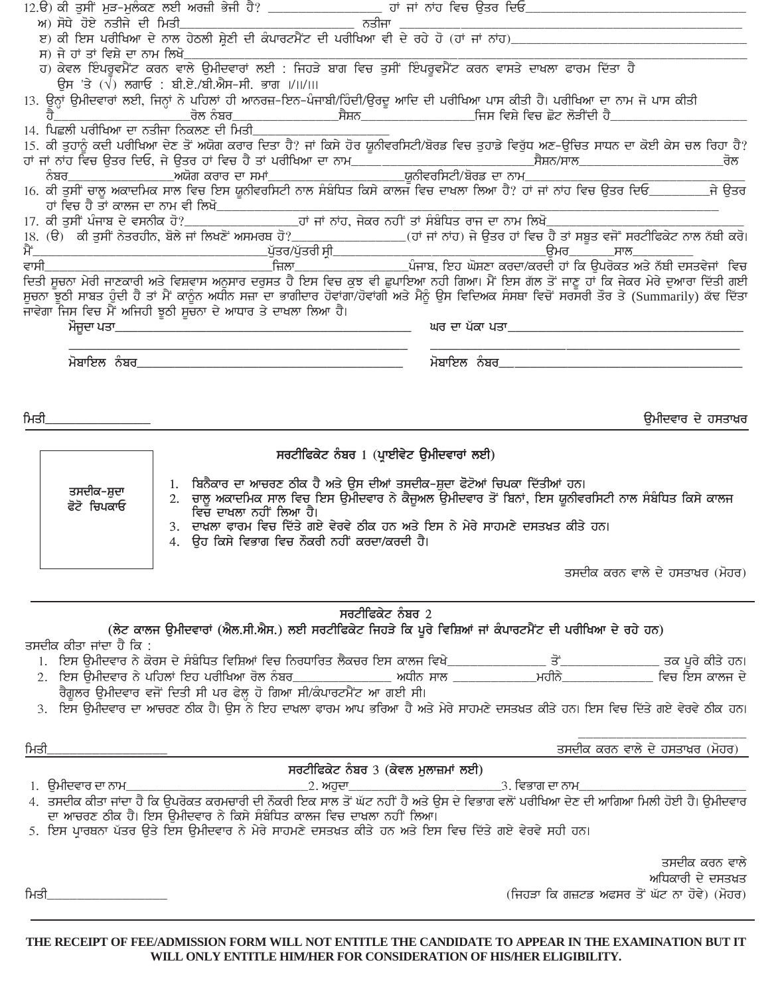| ਸ) ਜੇ ਹਾਂ ਤਾਂ ਵਿਸ਼ੇ ਦਾ ਨਾਮ ਲਿਖੋ         |                                                                                                                                                                                                                                                                                                         |                                          |                                              |
|-----------------------------------------|---------------------------------------------------------------------------------------------------------------------------------------------------------------------------------------------------------------------------------------------------------------------------------------------------------|------------------------------------------|----------------------------------------------|
|                                         | ਹ) ਕੇਵਲ ਇੰਪਰੂਵਮੈਂਟ ਕਰਨ ਵਾਲੇ ਉਮੀਦਵਾਰਾਂ ਲਈ : ਜਿਹੜੇ ਬਾਗ ਵਿਚ ਤੁਸੀਂ ਇੰਪਰੂਵਮੈਂਟ ਕਰਨ ਵਾਸਤੇ ਦਾਖਲਾ ਫਾਰਮ ਦਿੱਤਾ ਹੈ<br>ਉਸ 'ਤੇ $(\sqrt{)}$ ਲਗਾਓ : ਬੀ.ਏ./ਬੀ.ਐਸ-ਸੀ. ਭਾਗ ।/।।/।।।                                                                                                                                       |                                          |                                              |
|                                         | 13. ਉਨ੍ਹਾਂ ਉਮੀਦਵਾਰਾਂ ਲਈ, ਜਿਨ੍ਹਾਂ ਨੇ ਪਹਿਲਾਂ ਹੀ ਆਨਰਜ਼-ਇਨ-ਪੰਜਾਬੀ/ਹਿੰਦੀ/ਉਰਦੂ ਆਦਿ ਦੀ ਪਰੀਖਿਆ ਪਾਸ ਕੀਤੀ ਹੈ। ਪਰੀਖਿਆ ਦਾ ਨਾਮ ਜੋ ਪਾਸ ਕੀਤੀ                                                                                                                                                                           |                                          |                                              |
|                                         |                                                                                                                                                                                                                                                                                                         |                                          |                                              |
| 14. ਪਿਛਲੀ ਪਰੀਖਿਆ ਦਾ ਨਤੀਜਾ ਨਿਕਲਣ ਦੀ ਮਿਤੀ |                                                                                                                                                                                                                                                                                                         |                                          |                                              |
|                                         | 15. ਕੀ ਤੁਹਾਨੂੰ ਕਦੀ ਪਰੀਖਿਆ ਦੇਣ ਤੋਂ ਅਯੋਗ ਕਰਾਰ ਦਿਤਾ ਹੈ? ਜਾਂ ਕਿਸੇ ਹੋਰ ਯੂਨੀਵਰਸਿਟੀ/ਬੋਰਡ ਵਿਚ ਤੁਹਾਡੇ ਵਿਰੁੱਧ ਅਣ-ਉਚਿਤ ਸਾਧਨ ਦਾ ਕੋਈ ਕੇਸ ਚਲ ਰਿਹਾ ਹੈ?                                                                                                                                                                 |                                          |                                              |
|                                         |                                                                                                                                                                                                                                                                                                         |                                          |                                              |
|                                         |                                                                                                                                                                                                                                                                                                         |                                          |                                              |
|                                         | ਹਾਂ ਵਿਚ ਹੈ ਤਾਂ ਕਾਲਜ ਦਾ ਨਾਮ ਵੀ ਲਿਖੋ___________                                                                                                                                                                                                                                                           |                                          |                                              |
|                                         |                                                                                                                                                                                                                                                                                                         |                                          |                                              |
|                                         |                                                                                                                                                                                                                                                                                                         |                                          |                                              |
|                                         |                                                                                                                                                                                                                                                                                                         |                                          |                                              |
|                                         |                                                                                                                                                                                                                                                                                                         |                                          |                                              |
|                                         | ਦਿਤੀ ਸੂਚਨਾ ਮੇਰੀ ਜਾਣਕਾਰੀ ਅਤੇ ਵਿਸ਼ਵਾਸ ਅਨੁਸਾਰ ਦਰੁਸਤ ਹੈ ਇਸ ਵਿਚ ਕੁਝ ਵੀ ਛੁਪਾਇਆ ਨਹੀ ਗਿਆ। ਮੈਂ ਇਸ ਗੱਲ ਤੋਂ ਜਾਣੂ ਹਾਂ ਕਿ ਜੇਕਰ ਮੇਰੇ ਦੁਆਰਾ ਦਿੱਤੀ ਗਈ                                                                                                                                                                   |                                          |                                              |
|                                         | ਸੂਚਨਾ ਝੁਠੀ ਸਾਬਤ ਹੁੰਦੀ ਹੈ ਤਾਂ ਮੈਂ ਕਾਨੂੰਨ ਅਧੀਨ ਸਜ਼ਾ ਦਾ ਭਾਗੀਦਾਰ ਹੋਵਾਂਗਾ/ਹੋਵਾਂਗੀ ਅਤੇ ਮੈਨੂੰ ਉਸ ਵਿਦਿਅਕ ਸੰਸਥਾ ਵਿਚੋਂ ਸਰਸਰੀ ਤੌਰ ਤੇ (Summarily) ਕੱਢ ਦਿੱਤਾ                                                                                                                                                         |                                          |                                              |
|                                         | ਜਾਵੇਗਾ ਜਿਸ ਵਿਚ ਮੈਂ ਅਜਿਹੀ ਝੂਠੀ ਸੂਚਨਾ ਦੇ ਆਧਾਰ ਤੇ ਦਾਖਲਾ ਲਿਆ ਹੈ।                                                                                                                                                                                                                                            |                                          |                                              |
|                                         |                                                                                                                                                                                                                                                                                                         |                                          |                                              |
|                                         |                                                                                                                                                                                                                                                                                                         |                                          |                                              |
|                                         |                                                                                                                                                                                                                                                                                                         |                                          |                                              |
|                                         |                                                                                                                                                                                                                                                                                                         |                                          |                                              |
|                                         |                                                                                                                                                                                                                                                                                                         |                                          |                                              |
| ਮਿਤੀ                                    |                                                                                                                                                                                                                                                                                                         |                                          | ਉਮੀਦਵਾਰ ਦੇ ਹਸਤਾਖ਼ਰ                           |
|                                         |                                                                                                                                                                                                                                                                                                         | ਸਰਟੀਫਿਕੇਟ ਨੰਬਰ 1 (ਪ੍ਰਾਈਵੇਟ ਉਮੀਦਵਾਰਾਂ ਲਈ) |                                              |
|                                         |                                                                                                                                                                                                                                                                                                         |                                          |                                              |
|                                         | 1. ਬਿਨੈਕਾਰ ਦਾ ਆਚਰਣ ਠੀਕ ਹੈ ਅਤੇ ਉਸ ਦੀਆਂ ਤਸਦੀਕ-ਸ਼ੁਦਾ ਫੋਟੋਆਂ ਚਿਪਕਾ ਦਿੱਤੀਆਂ ਹਨ।                                                                                                                                                                                                                              |                                          |                                              |
| ਤਸਦੀਕ–ਸ਼ੁਦਾ<br>ਫੋਟੋ ਚਿਪਕਾਓ              | 2. ਚਾਲੂ ਅਕਾਦਮਿਕ ਸਾਲ ਵਿਚ ਇਸ ਉਮੀਦਵਾਰ ਨੇ ਕੈਜੂਅਲ ਉਮੀਦਵਾਰ ਤੋਂ ਬਿਨਾਂ, ਇਸ ਯੂਨੀਵਰਸਿਟੀ ਨਾਲ ਸੰਬੰਧਿਤ ਕਿਸੇ ਕਾਲਜ                                                                                                                                                                                                     |                                          |                                              |
|                                         | ਵਿਚ ਦਾਖਲਾ ਨਹੀਂ ਲਿਆ ਹੈ।                                                                                                                                                                                                                                                                                  |                                          |                                              |
|                                         | 3. ਦਾਖ਼ਲਾ ਫ਼ਾਰਮ ਵਿਚ ਦਿੱਤੇ ਗਏ ਵੇਰਵੇ ਠੀਕ ਹਨ ਅਤੇ ਇਸ ਨੇ ਮੇਰੇ ਸਾਹਮਣੇ ਦਸਤਖ਼ਤ ਕੀਤੇ ਹਨ।<br>4. ਉਹ ਕਿਸੇ ਵਿਭਾਗ ਵਿਚ ਨੌਕਰੀ ਨਹੀਂ ਕਰਦਾ/ਕਰਦੀ ਹੈ।                                                                                                                                                                        |                                          |                                              |
|                                         |                                                                                                                                                                                                                                                                                                         |                                          |                                              |
|                                         |                                                                                                                                                                                                                                                                                                         |                                          | ਤਸਦੀਕ ਕਰਨ ਵਾਲੇ ਦੇ ਹਸਤਾਖ਼ਰ (ਮੋਹਰ)             |
|                                         |                                                                                                                                                                                                                                                                                                         |                                          |                                              |
|                                         |                                                                                                                                                                                                                                                                                                         | ਸਰਟੀਫਿਕੇਟ ਨੰਬਰ $2$                       |                                              |
|                                         | (ਲੇਟ ਕਾਲਜ ਉਮੀਦਵਾਰਾਂ (ਐਲ.ਸੀ.ਐਸ.) ਲਈ ਸਰਟੀਫਿਕੇਟ ਜਿਹੜੇ ਕਿ ਪੂਰੇ ਵਿਸ਼ਿਆਂ ਜਾਂ ਕੰਪਾਰਟਮੈਂਟ ਦੀ ਪਰੀਖਿਆ ਦੇ ਰਹੇ ਹਨ)                                                                                                                                                                                                  |                                          |                                              |
|                                         |                                                                                                                                                                                                                                                                                                         |                                          |                                              |
| ਤਸਦੀਕ ਕੀਤਾ ਜਾਂਦਾ ਹੈ ਕਿ :                |                                                                                                                                                                                                                                                                                                         |                                          |                                              |
|                                         |                                                                                                                                                                                                                                                                                                         |                                          |                                              |
|                                         |                                                                                                                                                                                                                                                                                                         |                                          |                                              |
|                                         |                                                                                                                                                                                                                                                                                                         |                                          |                                              |
|                                         | ਰੈਗੂਲਰ ਉਮੀਦਵਾਰ ਵਜੋਂ ਦਿਤੀ ਸੀ ਪਰ ਫੇਲ੍ਹ ਹੋ ਗਿਆ ਸੀ/ਕੰਪਾਰਟਮੈਂਟ ਆ ਗਈ ਸੀ।<br>3. ਇਸ ਉਮੀਦਵਾਰ ਦਾ ਆਚਰਣ ਠੀਕ ਹੈ। ਉਸ ਨੇ ਇਹ ਦਾਖ਼ਲਾ ਫ਼ਾਰਮ ਆਪ ਭਰਿਆ ਹੈ ਅਤੇ ਮੇਰੇ ਸਾਹਮਣੇ ਦਸਤਖ਼ਤ ਕੀਤੇ ਹਨ। ਇਸ ਵਿਚ ਦਿੱਤੇ ਗਏ ਵੇਰਵੇ ਠੀਕ ਹਨ।                                                                                                      |                                          |                                              |
|                                         |                                                                                                                                                                                                                                                                                                         |                                          |                                              |
|                                         |                                                                                                                                                                                                                                                                                                         |                                          |                                              |
| ਮਿਤੀ                                    |                                                                                                                                                                                                                                                                                                         |                                          | ਤਸਦੀਕ ਕਰਨ ਵਾਲੇ ਦੇ ਹਸਤਾਖ਼ਰ (ਮੋਹਰ)             |
|                                         |                                                                                                                                                                                                                                                                                                         | ਸਰਟੀਫਿਕੇਟ ਨੰਬਰ 3 (ਕੇਵਲ ਮੁਲਾਜ਼ਮਾਂ ਲਈ)     |                                              |
|                                         |                                                                                                                                                                                                                                                                                                         |                                          |                                              |
|                                         | 1.  ਉਮੀਦਵਾਰ ਦਾ ਨਾਮ_________________________________2. ਅਹੁਦਾ________________________________3. ਵਿਭਾਗ ਦਾ ਨਾਮ____________________________<br>4.  ਤਸਦੀਕ ਕੀਤਾ ਜਾਂਦਾ ਹੈ ਕਿ ਉਪਰੋਕਤ ਕਰਮਚਾਰੀ ਦੀ ਨੌਕਰੀ ਇਕ ਸਾਲ ਤੋਂ ਘੱਟ ਨਹੀਂ ਹੈ ਅਤੇ ਉਸ ਦੇ ਵ<br>ਦਾ ਆਚਰਣ ਠੀਕ ਹੈ। ਇਸ ਉਮੀਦਵਾਰ ਨੇ ਕਿਸੇ ਸੰਬੰਧਿਤ ਕਾਲਜ ਵਿਚ ਦਾਖ਼ਲਾ ਨਹੀਂ ਲਿਆ। |                                          |                                              |
|                                         | 5. ਇਸ ਪ੍ਰਾਰਥਨਾ ਪੱਤਰ ਉਤੇ ਇਸ ਉਮੀਦਵਾਰ ਨੇ ਮੇਰੇ ਸਾਹਮਣੇ ਦਸਤਖ਼ਤ ਕੀਤੇ ਹਨ ਅਤੇ ਇਸ ਵਿਚ ਦਿੱਤੇ ਗਏ ਵੇਰਵੇ ਸਹੀ ਹਨ।                                                                                                                                                                                                      |                                          |                                              |
|                                         |                                                                                                                                                                                                                                                                                                         |                                          |                                              |
|                                         |                                                                                                                                                                                                                                                                                                         |                                          | ਤਸਦੀਕ ਕਰਨ ਵਾਲੇ                               |
|                                         |                                                                                                                                                                                                                                                                                                         |                                          | ਅਧਿਕਾਰੀ ਦੇ ਦਸਤਖ਼ਤ                            |
| ਮਿਤੀ                                    |                                                                                                                                                                                                                                                                                                         |                                          | (ਜਿਹੜਾ ਕਿ ਗਜ਼ਟਡ ਅਫਸਰ ਤੋਂ ਘੱਟ ਨਾ ਹੋਵੇ) (ਮੋਹਰ) |
|                                         |                                                                                                                                                                                                                                                                                                         |                                          |                                              |
|                                         | THE RECEIPT OF FEE/ADMISSION FORM WILL NOT ENTITLE THE CANDIDATE TO APPEAR IN THE EXAMINATION BUT IT                                                                                                                                                                                                    |                                          |                                              |

WILL ONLY ENTITLE HIM/HER FOR CONSIDERATION OF HIS/HER ELIGIBILITY.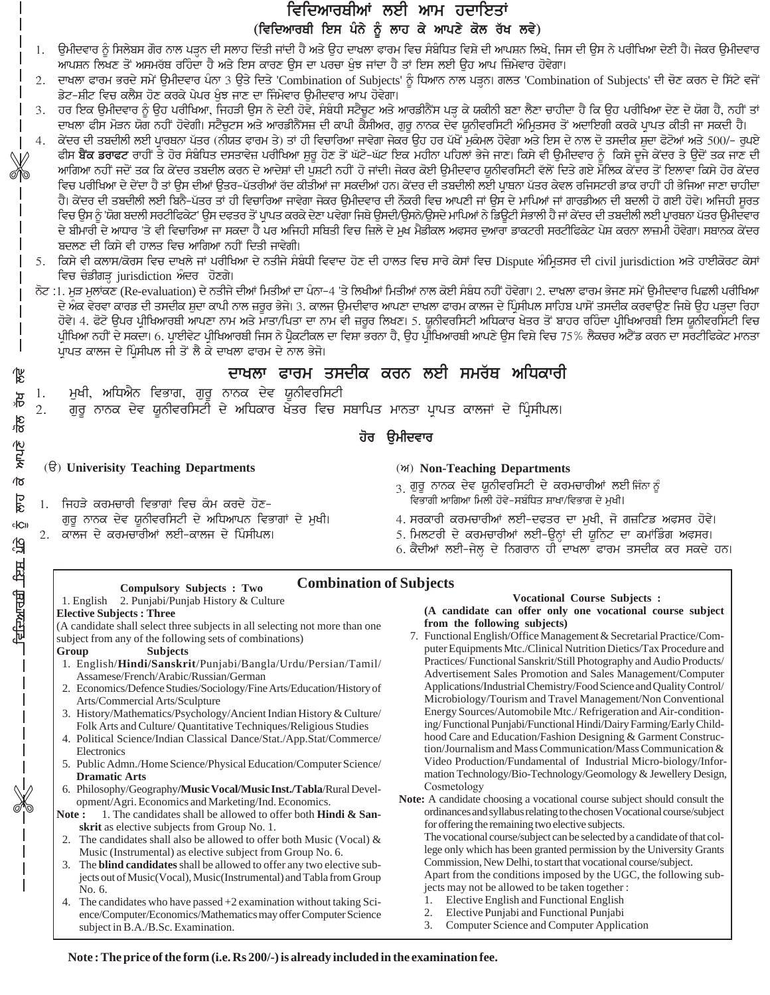## ਵਿਦਿਆਰਥੀਆਂ ਲਈ ਆਮ ਹਦਾਇਤਾਂ (ਵਿਦਿਆਰਥੀ ਇਸ ਪੰਨੇ ਨੂੰ ਲਾਹ ਕੇ ਆਪਣੇ ਕੋਲ ਰੱਖ ਲਵੇ)

ਉਮੀਦਵਾਰ ਨੂੰ ਸਿਲੇਬਸ ਗੋਰ ਨਾਲ ਪੜ੍ਹਨ ਦੀ ਸਲਾਹ ਦਿੱਤੀ ਜਾਂਦੀ ਹੈ ਅਤੇ ਉਹ ਦਾਖਲਾ ਫਾਰਮ ਵਿਚ ਸੰਬੰਧਿਤ ਵਿਸ਼ੇ ਦੀ ਆਪਸ਼ਨ ਲਿਖੇ, ਜਿਸ ਦੀ ਉਸ ਨੇ ਪਰੀਖਿਆ ਦੇਣੀ ਹੈ। ਜੇਕਰ ਉਮੀਦਵਾਰ 1. ਆਪਸ਼ਨ ਲਿਖਣ ਤੋਂ ਅਸਮਰੱਥ ਰਹਿੰਦਾ ਹੈ ਅਤੇ ਇਸ ਕਾਰਣ ਉਸ ਦਾ ਪਰਚਾ ਖੁੰਝ ਜਾਂਦਾ ਹੈ ਤਾਂ ਇਸ ਲਈ ਉਹ ਆਪ ਜ਼ਿੰਮੇਵਾਰ ਹੋਵੇਗਾ।

ਦਾਖਲਾ ਫਾਰਮ ਭਰਦੇ ਸਮੇਂ ਉਮੀਦਵਾਰ ਪੰਨਾ 3 ਉਤੇ ਦਿਤੇ 'Combination of Subjects' ਨੂੰ ਧਿਆਨ ਨਾਲ ਪੜ੍ਹਨ। ਗਲਤ 'Combination of Subjects' ਦੀ ਚੋਣ ਕਰਨ ਦੇ ਸਿੱਟੇ ਵਜੋਂ  $2.$ ਡੇਟ-ਸ਼ੀਟ ਵਿਚ ਕਲੈਸ਼ ਹੋਣ ਕਰਕੇ ਪੇਪਰ ਖੁੰਝ ਜਾਣ ਦਾ ਜਿੰਮੇਵਾਰ ਉਮੀਦਵਾਰ ਆਪ ਹੋਵੇਗਾ।

ਹਰ ਇਕ ਉਮੀਦਵਾਰ ਨੂੰ ਉਹ ਪਰੀਖਿਆ, ਜਿਹੜੀ ਉਸ ਨੇ ਦੇਣੀ ਹੋਵੇ, ਸੰਬੰਧੀ ਸਟੈਚੂਟ ਅਤੇ ਆਰਡੀਨੈਂਸ ਪੜ੍ਹ ਕੇ ਯਕੀਨੀ ਬਣਾ ਲੈਣਾ ਚਾਹੀਦਾ ਹੈ ਕਿ ਉਹ ਪਰੀਖਿਆ ਦੇਣ ਦੇ ਯੋਗ ਹੈ, ਨਹੀਂ ਤਾਂ ਦਾਖਲਾ ਫੀਸ ਮੋੜਨ ਯੋਗ ਨਹੀਂ ਹੋਵੇਗੀ। ਸਟੈਚੂਟਸ ਅਤੇ ਆਰਡੀਨੈਂਸਜ਼ ਦੀ ਕਾਪੀ ਕੈਸ਼ੀਅਰ, ਗੁਰੂ ਨਾਨਕ ਦੇਵ ਯੂਨੀਵਰਸਿਟੀ ਅੰਮਿਤਸਰ ਤੋਂ ਅਦਾਇਗੀ ਕਰਕੇ ਪ੍ਰਾਪਤ ਕੀਤੀ ਜਾ ਸਕਦੀ ਹੈ।

ਕੇਂਦਰ ਦੀ ਤਬਦੀਲੀ ਲਈ ਪ੍ਰਾਰਥਨਾ ਪੱਤਰ (ਨੀਯਤ ਫਾਰਮ ਤੇ) ਤਾਂ ਹੀ ਵਿਚਾਰਿਆ ਜਾਵੇਗਾ ਜੇਕਰ ਉਹ ਹਰ ਪੱਖੋਂ ਮੁਕੰਮਲ ਹੋਵੇਗਾ ਅਤੇ ਇਸ ਦੇ ਨਾਲ ਦੋ ਤਸਦੀਕ ਸ਼ੁਦਾ ਫੋਟੋਆਂ ਅਤੇ 500/- ਰੁਪਏ ਫੀਸ ਬੈਂਕ ਡਰਾਫਟ ਰਾਹੀਂ ਤੇ ਹੋਰ ਸੰਬੰਧਿਤ ਦਸਤਾਵੇਜ਼ ਪਰੀਖਿਆ ਸ਼ੁਰੂ ਹੋਣ ਤੋਂ ਘੱਟੋ-ਘੱਟ ਇਕ ਮਹੀਨਾ ਪਹਿਲਾਂ ਭੇਜੇ ਜਾਣ। ਕਿਸੇ ਵੀ ਉਮੀਦਵਾਰ ਨੂੰ ਕਿਸੇ ਦੂਜੇ ਕੇਂਦਰ ਤੇ ਉਦੋਂ ਤਕ ਜਾਣ ਦੀ ਆਗਿਆ ਨਹੀਂ ਜਦੋਂ ਤਕ ਕਿ ਕੇਂਦਰ ਤਬਦੀਲ ਕਰਨ ਦੇ ਆਦੇਸ਼ਾਂ ਦੀ ਪੁਸ਼ਟੀ ਨਹੀਂ ਹੋ ਜਾਂਦੀ। ਜੇਕਰ ਕੋਈ ਉਮੀਦਵਾਰ ਯੂਨੀਵਰਸਿਟੀ ਵੱਲੋਂ ਦਿਤੇ ਗਏ ਮੌਲਿਕ ਕੇਂਦਰ ਤੋਂ ਇਲਾਵਾ ਕਿਸੇ ਹੋਰ ਕੇਂਦਰ ਵਿਚ ਪਰੀਖਿਆ ਦੇ ਦੇਂਦਾ ਹੈ ਤਾਂ ਉਸ ਦੀਆਂ ਉਤਰ-ਪੱਤਰੀਆਂ ਰੱਦ ਕੀਤੀਆਂ ਜਾ ਸਕਦੀਆਂ ਹਨ। ਕੇਂਦਰ ਦੀ ਤਬਦੀਲੀ ਲਈ ਪ੍ਰਾਥਨਾ ਪੱਤਰ ਕੇਵਲ ਰਜਿਸਟਰੀ ਡਾਕ ਰਾਹੀਂ ਹੀ ਭੇਜਿਆ ਜਾਣਾ ਚਾਹੀਦਾ ਹੈ। ਕੇਂਦਰ ਦੀ ਤਬਦੀਲੀ ਲਈ ਬਿਨੈ-ਪੱਤਰ ਤਾਂ ਹੀ ਵਿਚਾਰਿਆ ਜਾਵੇਗਾ ਜੇਕਰ ਉਮੀਦਵਾਰ ਦੀ ਨੌਕਰੀ ਵਿਚ ਆਪਣੀ ਜਾਂ ਉਸ ਦੇ ਮਾਪਿਆਂ ਜਾਂ ਗਾਰਡੀਅਨ ਦੀ ਬਦਲੀ ਹੋ ਗਈ ਹੋਵੇ। ਅਜਿਹੀ ਸੁਰਤ ਵਿਚ ਉਸ ਨੂੰ 'ਯੋਗ ਬਦਲੀ ਸਰਟੀਫਿਕੇਟ' ਉਸ ਦਫਤਰ ਤੋਂ ਪ੍ਰਾਪਤ ਕਰਕੇ ਦੇਣਾ ਪਵੇਗਾ ਜਿਥੇ ਉਸਦੀ/ਉਸਨੇ/ਉਸਦੇ ਮਾਪਿਆਂ ਨੇ ਡਿਊਟੀ ਸੰਭਾਲੀ ਹੈ ਜਾਂ ਕੇਂਦਰ ਦੀ ਤਬਦੀਲੀ ਲਈ ਪ੍ਰਾਰਥਨਾ ਪੱਤਰ ਉਮੀਦਵਾਰ ਦੇ ਬੀਮਾਰੀ ਦੇ ਆਧਾਰ 'ਤੇ ਵੀ ਵਿਚਾਰਿਆ ਜਾ ਸਕਦਾ ਹੈ ਪਰ ਅਜਿਹੀ ਸਥਿਤੀ ਵਿਚ ਜ਼ਿਲੇ ਦੇ ਮੁਖ ਮੈਡੀਕਲ ਅਫਸਰ ਦੁਆਰਾ ਡਾਕਟਰੀ ਸਰਟੀਫਿਕੇਟ ਪੇਸ਼ ਕਰਨਾ ਲਾਜ਼ਮੀ ਹੋਵੇਗਾ। ਸਥਾਨਕ ਕੇਂਦਰ ਬਦਲਣ ਦੀ ਕਿਸੇ ਵੀ ਹਾਲਤ ਵਿਚ ਆਗਿਆ ਨਹੀਂ ਦਿਤੀ ਜਾਵੇਗੀ।

ਨੋਟ :1. ਮੁੜ ਮੁਲਾਂਕਣ (Re-evaluation) ਦੇ ਨਤੀਜੇ ਦੀਆਂ ਮਿਤੀਆਂ ਦਾ ਪੰਨਾ–4 'ਤੇ ਲਿਖੀਆਂ ਮਿਤੀਆਂ ਨਾਲ ਕੋਈ ਸੰਬੰਧ ਨਹੀਂ ਹੋਵੇਗਾ। 2. ਦਾਖਲਾ ਫਾਰਮ ਭੇਜਣ ਸਮੇਂ ਉਮੀਦਵਾਰ ਪਿਛਲੀ ਪਰੀਖਿਆ ਦੇ ਅੰਕ ਵੇਰਵਾ ਕਾਰਡ ਦੀ ਤਸਦੀਕ ਸ਼ੁਦਾ ਕਾਪੀ ਨਾਲ ਜ਼ਰੂਰ ਭੇਜੇ। 3. ਕਾਲਜ ਉਮਦੀਵਾਰ ਆਪਣਾ ਦਾਖ਼ਲਾ ਫਾਰਮ ਕਾਲਜ ਦੇ ਪ੍ਰਿੰਸੀਪਲ ਸਾਹਿਬ ਪਾਸੋਂ ਤਸਦੀਕ ਕਰਵਾਉਣ ਜਿਥੇ ਉਹ ਪੜ੍ਹਦਾ ਰਿਹਾ ਹੋਵੇ। 4. ਫੋਟੋ ਉਪਰ ਪ੍ਰੀਖਿਆਰਥੀ ਆਪਣਾ ਨਾਮ ਅਤੇ ਮਾਤਾ/ਪਿਤਾ ਦਾ ਨਾਮ ਵੀ ਜ਼ਰੂਰ ਲਿਖਣ। 5. ਯੂਨੀਵਰਸਿਟੀ ਅਧਿਕਾਰ ਖੇਤਰ ਤੋਂ ਬਾਹਰ ਰਹਿੰਦਾ ਪ੍ਰੀਖਿਆਰਥੀ ਇਸ ਯੂਨੀਵਰਸਿਟੀ ਵਿਚ ਪ੍ਰੀਖਿਆ ਨਹੀਂ ਦੇ ਸਕਦਾ। 6. ਪ੍ਰਾਈਵੇਟ ਪ੍ਰੀਖਿਆਰਥੀ ਜਿਸ ਨੇ ਪ੍ਰੈਕਟੀਕਲ ਦਾ ਵਿਸ਼ਾ ਭਰਨਾ ਹੈ, ਉਹ ਪ੍ਰੀਖਿਆਰਥੀ ਆਪਣੇ ਉਸ ਵਿਸ਼ੇ ਵਿਚ 75% ਲੈਕਚਰ ਅਟੈਂਡ ਕਰਨ ਦਾ ਸਰਟੀਫਿਕੇਟ ਮਾਨਤਾ ਪ੍ਰਾਪਤ ਕਾਲਜ ਦੇ ਪ੍ਰਿੰਸੀਪਲ ਜੀ ਤੋਂ ਲੈ ਕੇ ਦਾਖਲਾ ਫਾਰਮ ਦੇ ਨਾਲ ਭੇਜੋ।

### ਦਾਖਲਾ ਫਾਰਮ ਤਸਦੀਕ ਕਰਨ ਲਈ ਸਮਰੱਥ ਅਧਿਕਾਰੀ

ਮੁਖੀ, ਅਧਿਐਨ ਵਿਭਾਗ, ਗੁਰੂ ਨਾਨਕ ਦੇਵ ਯੂਨੀਵਰਸਿਟੀ 1.

ਗੁਰੂ ਨਾਨਕ ਦੇਵ ਯੂਨੀਵਰਸਿਟੀ ਦੇ ਅਧਿਕਾਰ ਖੇਤਰ ਵਿਚ ਸਥਾਪਿਤ ਮਾਨਤਾ ਪਾਪਤ ਕਾਲਜਾਂ ਦੇ ਪਿੰਸੀਪਲ।  $\overline{2}$ .

### ਹੋਰ ੳਮੀਦਵਾਰ

### $(\theta)$  Univerisity Teaching Departments

- 1. ਜਿਹੜੇ ਕਰਮਚਾਰੀ ਵਿਭਾਗਾਂ ਵਿਚ ਕੰਮ ਕਰਦੇ ਹੋਣ-ਗੁਰੂ ਨਾਨਕ ਦੇਵ ਯੂਨੀਵਰਸਿਟੀ ਦੇ ਅਧਿਆਪਨ ਵਿਭਾਗਾਂ ਦੇ ਮੁਖੀ। 2. ਕਾਲਜ ਦੇ ਕਰਮਚਾਰੀਆਂ ਲਈ-ਕਾਲਜ ਦੇ ਪਿੰਸੀਪਲ।
- (M) Non-Teaching Departments
- $\frac{1}{3}$  ਗੁਰੂ ਨਾਨਕ ਦੇਵ ਯੂਨੀਵਰਸਿਟੀ ਦੇ ਕਰਮਚਾਰੀਆਂ ਲਈ ਜਿੰਨਾ ਨੂੰ ਵਿਭਾਗੀ ਆਗਿਆ ਮਿਲੀ ਹੋਵੇ-ਸਬੰਧਿਤ ਸ਼ਾਖਾ/ਵਿਭਾਗ ਦੇ ਮਖੀ।
- 4. ਸਰਕਾਰੀ ਕਰਮਚਾਰੀਆਂ ਲਈ-ਦਫ਼ਤਰ ਦਾ ਮੁਖੀ, ਜੋ ਗਜ਼ਟਿਡ ਅਫ਼ਸਰ ਹੋਵੇ।
- 5. ਮਿਲਟਰੀ ਦੇ ਕਰਮਚਾਰੀਆਂ ਲਈ-ਉਨ੍ਹਾਂ ਦੀ ਯੁਨਿਟ ਦਾ ਕਮਾਂਡਿੰਗ ਅਫਸਰ।
- 6. ਕੈਦੀਆਂ ਲਈ-ਜੇਲ੍ਹ ਦੇ ਨਿਗਰਾਨ ਹੀ ਦਾਖਲਾ ਫਾਰਮ ਤਸਦੀਕ ਕਰ ਸਕਦੇ ਹਨ।

### **Combination of Subjects**

### **Compulsory Subjects : Two** 1. English 2. Punjabi/Punjab History & Culture

**Elective Subjects: Three** 

(A candidate shall select three subjects in all selecting not more than one subject from any of the following sets of combinations)

#### **Subjects** Group

앦

यू

 $\frac{2}{6}$ 

**ALLE** 

 $\sigma$ 

<u>Pik</u>

**c**<sub>ICII</sub>

ति

<u>ਦਦਿਆਰਸ਼ੀ ਇਸ</u>

- 1. English/Hindi/Sanskrit/Punjabi/Bangla/Urdu/Persian/Tamil/ Assamese/French/Arabic/Russian/German
- 2. Economics/Defence Studies/Sociology/Fine Arts/Education/History of Arts/Commercial Arts/Sculpture
- 3. History/Mathematics/Psychology/Ancient Indian History & Culture/ Folk Arts and Culture/ Quantitative Techniques/Religious Studies
- 4. Political Science/Indian Classical Dance/Stat./App.Stat/Commerce/ Electronics
- 5. Public Admn./Home Science/Physical Education/Computer Science/ **Dramatic Arts**
- 6. Philosophy/Geography/Music Vocal/Music Inst./Tabla/Rural Development/Agri. Economics and Marketing/Ind. Economics.
- 1. The candidates shall be allowed to offer both Hindi & San-Note: skrit as elective subjects from Group No. 1.
- 2. The candidates shall also be allowed to offer both Music (Vocal)  $\&$ Music (Instrumental) as elective subject from Group No. 6.
- 3. The **blind candidates** shall be allowed to offer any two elective subjects out of Music(Vocal), Music(Instrumental) and Tabla from Group No. 6.
- The candidates who have passed  $+2$  examination without taking Sci-4. ence/Computer/Economics/Mathematics may offer Computer Science subject in B.A./B.Sc. Examination.

#### **Vocational Course Subjects:** (A candidate can offer only one vocational course subject from the following subjects)

- 7. Functional English/Office Management & Secretarial Practice/Computer Equipments Mtc./Clinical Nutrition Dietics/Tax Procedure and Practices/Functional Sanskrit/Still Photography and Audio Products/ Advertisement Sales Promotion and Sales Management/Computer Applications/Industrial Chemistry/Food Science and Quality Control/ Microbiology/Tourism and Travel Management/Non Conventional Energy Sources/Automobile Mtc./ Refrigeration and Air-conditioning/Functional Punjabi/Functional Hindi/Dairy Farming/Early Childhood Care and Education/Fashion Designing & Garment Construction/Journalism and Mass Communication/Mass Communication & Video Production/Fundamental of Industrial Micro-biology/Information Technology/Bio-Technology/Geomology & Jewellery Design, Cosmetology
- Note: A candidate choosing a vocational course subject should consult the ordinances and syllabus relating to the chosen Vocational course/subject for offering the remaining two elective subjects.

The vocational course/subject can be selected by a candidate of that college only which has been granted permission by the University Grants Commission, New Delhi, to start that vocational course/subject. Apart from the conditions imposed by the UGC, the following sub-

jects may not be allowed to be taken together :

- Elective English and Functional English 1.
- Elective Punjabi and Functional Punjabi 2.
- 3. Computer Science and Computer Application

ਕਿਸੇ ਵੀ ਕਲਾਸ/ਕੋਰਸ ਵਿਚ ਦਾਖਲੇ ਜਾਂ ਪਰੀਖਿਆ ਦੇ ਨਤੀਜੇ ਸੰਬੰਧੀ ਵਿਵਾਦ ਹੋਣ ਦੀ ਹਾਲਤ ਵਿਚ ਸਾਰੇ ਕੇਸਾਂ ਵਿਚ Dispute ਅੰਮ੍ਰਿਤਸਰ ਦੀ civil jurisdiction ਅਤੇ ਹਾਈਕੋਰਟ ਕੇਸਾਂ ਵਿਚ ਚੰਡੀਗੜ੍ਹ jurisdiction ਅੰਦਰ ਹੋਣਗੇ।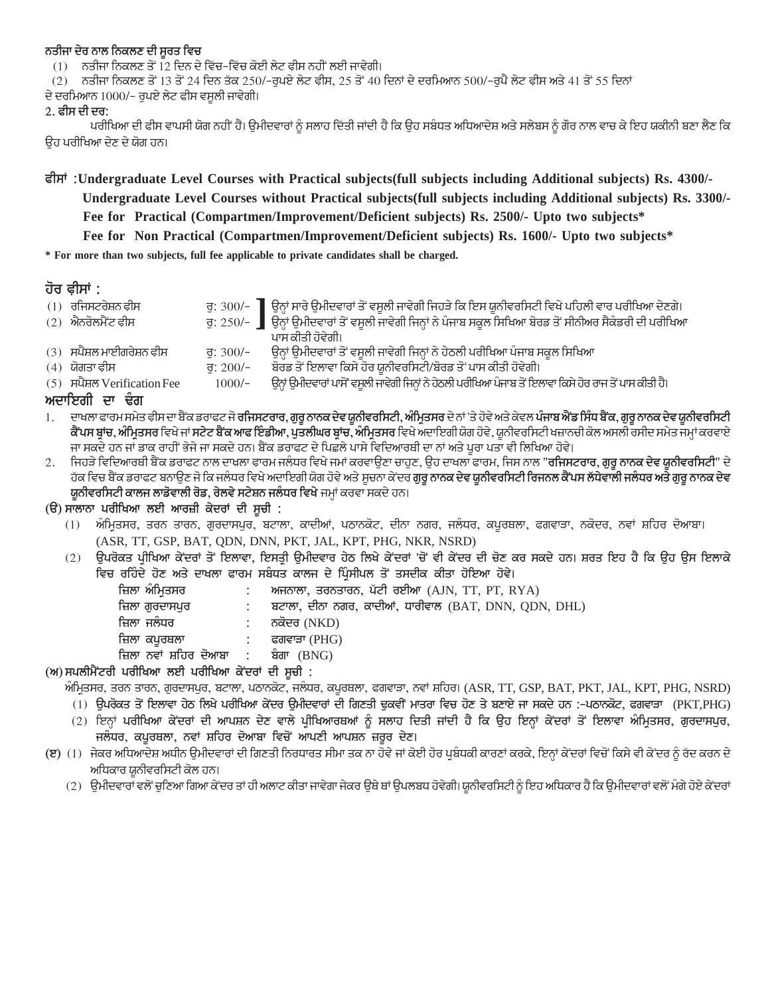### ਨਤੀਜਾ ਦੇਰ ਨਾਲ ਨਿਕਲਣ ਦੀ ਸੂਰਤ ਵਿ**ਚ**

 $(1)$  ਨਤੀਜਾ ਨਿਕਲਣ ਤੋਂ 12 ਦਿਨ ਦੇ ਵਿੱਚ-ਵਿੱਚ ਕੋਈ ਲੇਟ ਫੀਸ ਨਹੀਂ ਲਈ ਜਾਵੇਗੀ।

(2) ਨਤੀਜਾ ਨਿਕਲਣ ਤੋਂ 13 ਤੋਂ 24 ਦਿਨ ਤੱਕ 250/-ਰੁਪਏ ਲੇਟ ਫੀਸ, 25 ਤੋਂ 40 ਦਿਨਾਂ ਦੇ ਦਰਮਿਆਨ 500/-ਰੁਪੈ ਲੇਟ ਫੀਸ ਅਤੇ 41 ਤੋਂ 55 ਦਿਨਾਂ

ਦੇ ਦਰਮਿਆਨ 1000/– ਰੁਪਏ ਲੇਟ ਫੀਸ ਵਸੁਲੀ ਜਾਵੇਗੀ।

### **2. PIs dI dr:**

ਪਰੀਖਿਆ ਦੀ ਫੀਸ ਵਾਪਸੀ ਯੋਗ ਨਹੀਂ ਹੈ। ਉਮੀਦਵਾਰਾਂ ਨੂੰ ਸਲਾਹ ਦਿੱਤੀ ਜਾਂਦੀ ਹੈ ਕਿ ਉਹ ਸਬੰਧਤ ਅਧਿਆਦੇਸ਼ ਅਤੇ ਸਲੇਬਸ ਨੂੰ ਗੌਰ ਨਾਲ ਵਾਚ ਕੇ ਇਹ ਯਕੀਨੀ ਬਣਾ ਲੈਣ ਕਿ ਓਹ ਪਰੀਖਿਆ ਦੇਣ ਦੇ ਯੋਗ ਹਨ।

**PIs~ :Undergraduate Level Courses with Practical subjects(full subjects including Additional subjects) Rs. 4300/- Undergraduate Level Courses without Practical subjects(full subjects including Additional subjects) Rs. 3300/- Fee for Practical (Compartmen/Improvement/Deficient subjects) Rs. 2500/- Upto two subjects\* Fee for Non Practical (Compartmen/Improvement/Deficient subjects) Rs. 1600/- Upto two subjects\***

**\* For more than two subjects, full fee applicable to private candidates shall be charged.**

### **hor &Is~ :**

| $(1)$ ਰਜਿਸਟਰੇਸ਼ਨ ਫ਼ੀਸ       |            | ਰੁ: 300/- ] ਉਨ੍ਹਾਂ ਸਾਰੇ ਉਮੀਦਵਾਰਾਂ ਤੋਂ ਵਸੂਲੀ ਜਾਵੇਗੀ ਜਿਹੜੇ ਕਿ ਇਸ ਯੂਨੀਵਰਸਿਟੀ ਵਿਖੇ ਪਹਿਲੀ ਵਾਰ ਪਰੀਖਿਆ ਦੇਣਗੇ।      |
|-----------------------------|------------|-------------------------------------------------------------------------------------------------------------|
| $(2)$ ਐਨਰੋਲਮੈਂਟ ਫੀਸ         |            | ਰੁ: 250/– ੂ ਉਨ੍ਹਾਂ ਉਮੀਦਵਾਰਾਂ ਤੋਂ ਵਸੂਲੀ ਜਾਵੇਗੀ ਜਿਨ੍ਹਾਂ ਨੇ ਪੰਜਾਬ ਸਕੂਲ ਸਿਖਿਆ ਬੋਰਡ ਤੋਂ ਸੀਨੀਅਰ ਸੈਕੰਡਰੀ ਦੀ ਪਰੀਖਿਆ |
|                             |            | ਪਾਸ ਕੀਤੀ ਹੋਵੇਗੀ।                                                                                            |
| (3) ਸਪੈਸ਼ਲ ਮਾਈਗਰੇਸ਼ਨ ਫੀਸ    | ਰ: $300/-$ | ਉਨ੍ਹਾਂ ਉਮੀਦਵਾਰਾਂ ਤੋਂ ਵਸੂਲੀ ਜਾਵੇਗੀ ਜਿਨ੍ਹਾਂ ਨੇ ਹੇਠਲੀ ਪਰੀਖਿਆ ਪੰਜਾਬ ਸਕੂਲ ਸਿਖਿਆ                                  |
| (4) ਯੋਗਤਾ ਫ਼ੀਸ              | ਰ: $200/-$ | ਬੋਰਡ ਤੋਂ ਇਲਾਵਾ ਕਿਸੇ ਹੋਰ ਯੂਨੀਵਰਸਿਟੀ/ਬੋਰਡ ਤੋਂ ਪਾਸ ਕੀਤੀ ਹੋਵੇਗੀ।                                                |
| (5) ਸਪੈਸ਼ਲ Verification Fee | $1000/-$   | ਉਨ੍ਹਾਂ ਉਮੀਦਵਾਰਾਂ ਪਾਸੋਂ ਵਸੂਲੀ ਜਾਵੇਗੀ ਜਿਨ੍ਹਾਂ ਨੇ ਹੇਠਲੀ ਪਰੀਖਿਆ ਪੰਜਾਬ ਤੋਂ ਇਲਾਵਾ ਕਿਸੇ ਹੋਰ ਰਾਜ ਤੋਂ ਪਾਸ ਕੀਤੀ ਹੈ।   |
| ਅਦਾਇਗੀ ਦਾ ਢੰਗ               |            |                                                                                                             |
|                             |            |                                                                                                             |

1. ਦਾਖਲਾ ਫਾਰਮ ਸਮੇਤ ਫੀਸ ਦਾ ਬੇਂਕ ਡਰਾਫਟ ਜੋ **ਰਜਿਸਟਰਾਰ, ਗੁਰੂ ਨਾਨਕ ਦੇਵ ਯੂਨੀਵਰਸਿਟੀ, ਅੰਮ੍ਰਿਤਸਰ** ਦੇ ਨਾਂ 'ਤੇ ਹੋਵੇ ਅਤੇ ਕੇਵਲ <mark>ਪੰਜਾਬ ਐਂਡ ਸਿੰਧ ਬੈਂਕ, ਗੁਰੂ ਨਾਨਕ ਦੇਵ ਯੁਨੀਵਰਸਿਟੀ</mark> **ਕੈਂਪਸ ਬਾਂਚ, ਅੰਮਿਤਸਰ** ਵਿਖੇ ਜਾਂ **ਸਟੇਟ ਬੈਂਕ ਆਫ ਇੰਡੀਆ, ਪੁਤਲੀਘਰ ਬਾਂਚ, ਅੰਮਿਤਸਰ** ਵਿਖੇ ਅਦਾਇਗੀ ਯੋਗ ਹੋਵੇ, ਯੂਨੀਵਰਸਿਟੀ ਖਜ਼ਾਨਚੀ ਕੋਲ ਅਸਲੀ ਰਸੀਦ ਸਮੇਤ ਜਮ੍ਹਾਂ ਕਰਵਾਏ ਜਾ ਸਕਦੇ ਹਨ ਜਾਂ ਡਾਕ ਰਾਹੀਂ ਭੇਜੇ ਜਾ ਸਕਦੇ ਹਨ। ਬੈਂਕ ਡਰਾਫਟ ਦੇ ਪਿਛਲੇ ਪਾਸੇ ਵਿਦਿਆਰਥੀ ਦਾ ਨਾਂ ਅਤੇ ਪਰਾ ਪਤਾ ਵੀ ਲਿਖਿਆ ਹੋਵੇ।

2. ਜਿਹੜੇ ਵਿਦਿਆਰਬੀ ਬੈਂਕ ਡਰਾਫਟ ਨਾਲ ਦਾਖ਼ਲਾ ਫਾਰਮ ਜਲੰਧਰ ਵਿਖੇ ਜਮਾਂ ਕਰਵਾਉਣਾ ਚਾਹੁਣ, ਉਹ ਦਾਖਲਾ ਫਾਰਮ, ਜਿਸ ਨਾਲ "**ਰਜਿਸਟਰਾਰ, ਗੁਰੂ ਨਾਨਕ ਦੇਵ ਯੂਨੀਵਰਸਿਟੀ**" ਦੇ ੱਹਕ ਵਿਚ ਬੈਂਕ ਡਰਾਫਟ ਬਨਾਉਣ ਜੋ ਕਿ ਜਲੰਧਰ ਵਿਖੇ ਅਦਾਇਗੀ ਯੋਗ ਹੋਵੇ ਅਤੇ ਸੂਚਨਾ ਕੇਂਦਰ **ਗੁਰੂ ਨਾਨਕ ਦੇਵ ਯੂਨੀਵਰਸਿਟੀ ਰਿਜਨਲ ਕੈਂਪਸ ਲੱਧੇਵਾਲੀ ਜਲੰਧਰ ਅਤੇ ਗੁਰੂ ਨਾਨਕ ਦੇਵ ਯੂਨੀਵਰਸਿਟੀ ਕਾਲਜ ਲਾਡੋਵਾਲੀ ਰੋਡ, ਰੇਲਵੇ ਸਟੇਸ਼ਨ ਜਲੰਧਰ ਵਿਖੇ** ਜਮ੍ਹਾਂ ਕਰਵਾ ਸਕਦੇ ਹਨ।

### (ੳ) ਸਾਲਾਨਾ ਪਰੀਖਿਆ ਲਈ ਆਰਜ਼ੀ ਕੇਦਰਾਂ ਦੀ ਸੂਚੀ :

- (1) ਅੰਮ੍ਰਿਤਸਰ, ਤਰਨ ਤਾਰਨ, ਗੁਰਦਾਸਪੁਰ, ਬਟਾਲਾ, ਕਾਦੀਆਂ, ਪਠਾਨਕੋਟ, ਦੀਨਾ ਨਗਰ, ਜਲੰਧਰ, ਕਪੁਰਥਲਾ, ਫਗਵਾੜਾ, ਨਕੋਦਰ, ਨਵਾਂ ਸ਼ਹਿਰ ਦੋਆਬਾ। (ASR, TT, GSP, BAT, QDN, DNN, PKT, JAL, KPT, PHG, NKR, NSRD)
- (2) ਉਪਰੋਕਤ ਪ੍ਰੀਖਿਆ ਕੇਂਦਰਾਂ ਤੋਂ ਇਲਾਵਾ, ਇਸਤ੍ਰੀ ਉਮੀਦਵਾਰ ਹੇਠ ਲਿਖੇ ਕੇਂਦਰਾਂ 'ਚੋਂ ਵੀ ਕੇਂਦਰ ਦੀ ਚੋਣ ਕਰ ਸਕਦੇ ਹਨ। ਸ਼ਰਤ ਇਹ ਹੈ ਕਿ ਉਹ ਉਸ ਇਲਾਕੇ ਵਿਚ ਰਹਿੰਦੇ ਹੋਣ ਅਤੇ ਦਾਖਲਾ ਫਾਰਮ ਸਬੰਧਤ ਕਾਲਜ ਦੇ ਪਿੰਸੀਪਲ ਤੋਂ ਤਸਦੀਕ ਕੀਤਾ ਹੋਇਆ ਹੋਵੇ।

| ਜ਼ਿਲਾ ਅੰਮਿਤਸਰ                       | ਅਜਨਾਲਾ, ਤਰਨਤਾਰਨ, ਪੱਟੀ ਰਈਆ (AJN, TT, PT, RYA)          |
|-------------------------------------|-------------------------------------------------------|
| ਜ਼ਿਲਾ ਗੁਰਦਾਸਪੁਰ                     | ਬਟਾਲਾ, ਦੀਨਾ ਨਗਰ, ਕਾਦੀਆਂ, ਧਾਰੀਵਾਲ (BAT, DNN, QDN, DHL) |
| ਜ਼ਿਲਾ ਜਲੰਧਰ                         | : ਨਕੋਦਰ (NKD)                                         |
|                                     |                                                       |
| ਜ਼ਿਲਾ ਨਵਾਂ ਸ਼ਹਿਰ ਦੋਆਬਾ : ਬੰਗਾ (BNG) |                                                       |
|                                     |                                                       |

(ਅ) ਸਪਲੀਮੈਂਟਰੀ ਪਰੀਖਿਆ ਲਈ ਪਰੀਖਿਆ ਕੇਂਦਰਾਂ ਦੀ ਸੂਚੀ :

ਅੰਮ੍ਰਿਤਸਰ, ਤਰਨ ਤਾਰਨ, ਗੁਰਦਾਸਪੁਰ, ਬਟਾਲਾ, ਪਠਾਨਕੋਟ, ਜਲੰਧਰ, ਕਪੂਰਥਲਾ, ਫਗਵਾੜਾ, ਨਵਾਂ ਸ਼ਹਿਰ। (ASR, TT, GSP, BAT, PKT, JAL, KPT, PHG, NSRD)

- (1) ਉਪਰੋਕਤ ਤੋਂ ਇਲਾਵਾ ਹੇਠ ਲਿਖੇ ਪਰੀਖਿਆ ਕੇਂਦਰ ਉਮੀਦਵਾਰਾਂ ਦੀ ਗਿਣਤੀ ਢੁਕਵੀਂ ਮਾਤਰਾ ਵਿਚ ਹੋਣ ਤੇ ਬਣਾਏ ਜਾ ਸਕਦੇ ਹਨ :-ਪਠਾਨਕੋਟ, ਫਗਵਾੜਾ (PKT,PHG)
- (2) ਇਨ੍ਹਾਂ ਪਰੀਖਿਆ ਕੇਂਦਰਾਂ ਦੀ ਆਪਸ਼ਨ ਦੇਣ ਵਾਲੇ ਪ੍ਰੀਖਿਆਰਥਆਂ ਨੂੰ ਸਲਾਹ ਦਿਤੀ ਜਾਂਦੀ ਹੈ ਕਿ ਉਹ ਇਨ੍ਹਾਂ ਕੇਂਦਰਾਂ ਤੋਂ ਇਲਾਵਾ ਅੰਮ੍ਰਿਤਸਰ, ਗੁਰਦਾਸਪੁਰ, ਜਲੰਧਰ, ਕਪੂਰਥਲਾ, ਨਵਾਂ ਸ਼ਹਿਰ ਦੋਆਬਾ ਵਿਚੋਂ ਆਪਣੀ ਆਪਸ਼ਨ ਜ਼ਰੂਰ ਦੇਣ।
- **(ੲ)** (1) ਜੇਕਰ ਅਧਿਆਦੇਸ਼ ਅਧੀਨ ਉਮੀਦਵਾਰਾਂ ਦੀ ਗਿਣਤੀ ਨਿਰਧਾਰਤ ਸੀਮਾ ਤਕ ਨਾ ਹੋਵੇ ਜਾਂ ਕੋਈ ਹੋਰ ਪ੍ਰਬੰਧਕੀ ਕਾਰਣਾਂ ਕਰਕੇ, ਇਨ੍ਹਾਂ ਕੇਂਦਰਾਂ ਵਿਚੋਂ ਕਿਸੇ ਵੀ ਕੇਂਦਰ ਨੂੰ ਰੱਦ ਕਰਨ ਦੇ ਅਧਿਕਾਰ ਯੂਨੀਵਰਸਿਟੀ ਕੋਲ ਹਨ।
	- (2) ਉਮੀਦਵਾਰਾਂ ਵਲੋਂ ਚੁਣਿਆ ਗਿਆ ਕੇਂਦਰ ਤਾਂ ਹੀ ਅਲਾਟ ਕੀਤਾ ਜਾਵੇਗਾ ਜੇਕਰ ਉਥੇ ਥਾਂ ਉਪਲਬਧ ਹੋਵੇਗੀ। ਯੂਨੀਵਰਸਿਟੀ ਨੂੰ ਇਹ ਅਧਿਕਾਰ ਹੈ ਕਿ ਉਮੀਦਵਾਰਾਂ ਵਲੋਂ ਮੰਗੇ ਹੋਏ ਕੇਂਦਰਾਂ